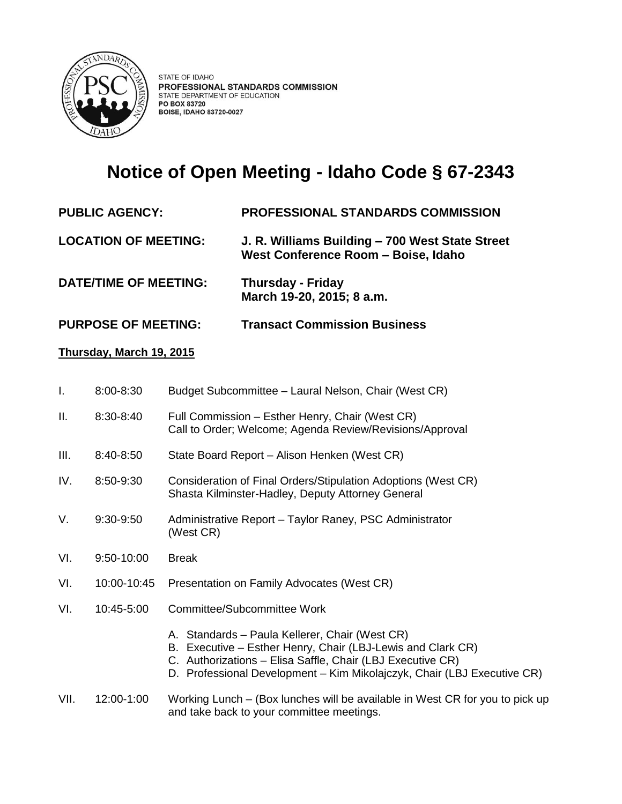

# **Notice of Open Meeting - Idaho Code § 67-2343**

## **PUBLIC AGENCY: PROFESSIONAL STANDARDS COMMISSION**

**LOCATION OF MEETING: J. R. Williams Building – 700 West State Street West Conference Room – Boise, Idaho** 

- **DATE/TIME OF MEETING: Thursday - Friday March 19-20, 2015; 8 a.m.**
- **PURPOSE OF MEETING: Transact Commission Business**

#### **Thursday, March 19, 2015**

|  | $8:00 - 8:30$ | Budget Subcommittee - Laural Nelson, Chair (West CR) |  |
|--|---------------|------------------------------------------------------|--|
|--|---------------|------------------------------------------------------|--|

- II. 8:30-8:40 Full Commission Esther Henry, Chair (West CR) Call to Order; Welcome; Agenda Review/Revisions/Approval
- III. 8:40-8:50 State Board Report Alison Henken (West CR)
- IV. 8:50-9:30 Consideration of Final Orders/Stipulation Adoptions (West CR) Shasta Kilminster-Hadley, Deputy Attorney General
- V. 9:30-9:50 Administrative Report Taylor Raney, PSC Administrator (West CR)
- VI. 9:50-10:00 Break
- VI. 10:00-10:45 Presentation on Family Advocates (West CR)
- VI. 10:45-5:00 Committee/Subcommittee Work
	- A. Standards Paula Kellerer, Chair (West CR)
	- B. Executive Esther Henry, Chair (LBJ-Lewis and Clark CR)
	- C. Authorizations Elisa Saffle, Chair (LBJ Executive CR)
	- D. Professional Development Kim Mikolajczyk, Chair (LBJ Executive CR)

#### VII. 12:00-1:00 Working Lunch – (Box lunches will be available in West CR for you to pick up and take back to your committee meetings.